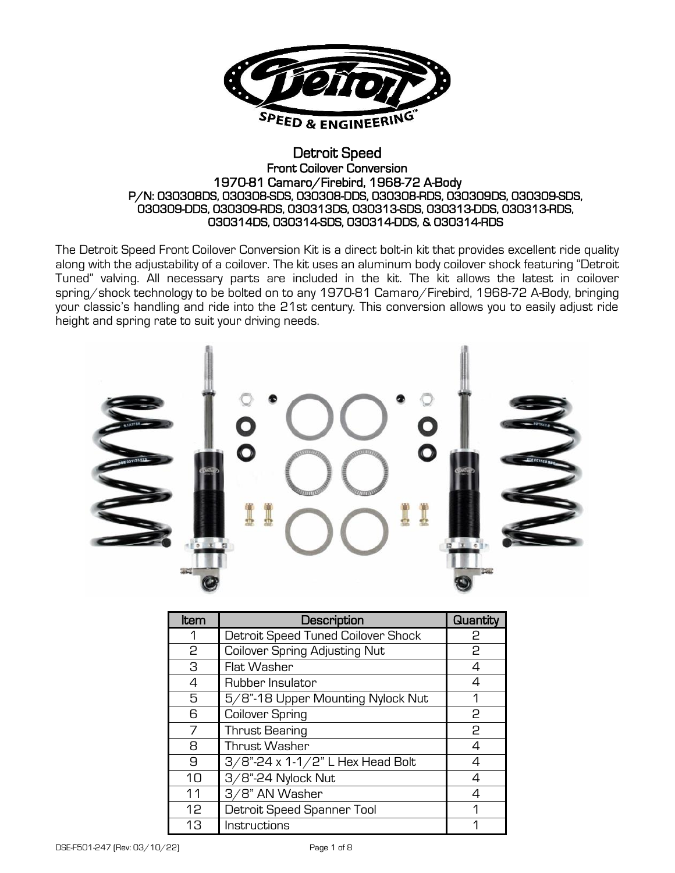

#### Detroit Speed Front Coilover Conversion 1970-81 Camaro/Firebird, 1968-72 A-Body P/N: 030308DS, 030308-SDS, 030308-DDS, 030308-RDS, 030309DS, 030309-SDS, 030309-DDS, 030309-RDS, 030313DS, 030313-SDS, 030313-DDS, 030313-RDS, 030314DS, 030314-SDS, 030314-DDS, & 030314-RDS

The Detroit Speed Front Coilover Conversion Kit is a direct bolt-in kit that provides excellent ride quality along with the adjustability of a coilover. The kit uses an aluminum body coilover shock featuring "Detroit Tuned" valving. All necessary parts are included in the kit. The kit allows the latest in coilover spring/shock technology to be bolted on to any 1970-81 Camaro/Firebird, 1968-72 A-Body, bringing your classic's handling and ride into the 21st century. This conversion allows you to easily adjust ride height and spring rate to suit your driving needs.



| Item | Description                          | <b>Quantity</b> |
|------|--------------------------------------|-----------------|
| 1    | Detroit Speed Tuned Coilover Shock   | 2               |
| 2    | <b>Coilover Spring Adjusting Nut</b> | 2               |
| З    | Flat Washer                          | 4               |
| 4    | Rubber Insulator                     | 4               |
| 5    | 5/8"-18 Upper Mounting Nylock Nut    | 1               |
| 6    | Coilover Spring                      | 2               |
| 7    | <b>Thrust Bearing</b>                | 2               |
| 8    | Thrust Washer                        | 4               |
| 9    | 3/8"-24 x 1-1/2" L Hex Head Bolt     | 4               |
| 10   | 3/8"-24 Nylock Nut                   | 4               |
| 11   | 3/8" AN Washer                       | 4               |
| 12   | Detroit Speed Spanner Tool           | 1               |
| 13   | Instructions                         |                 |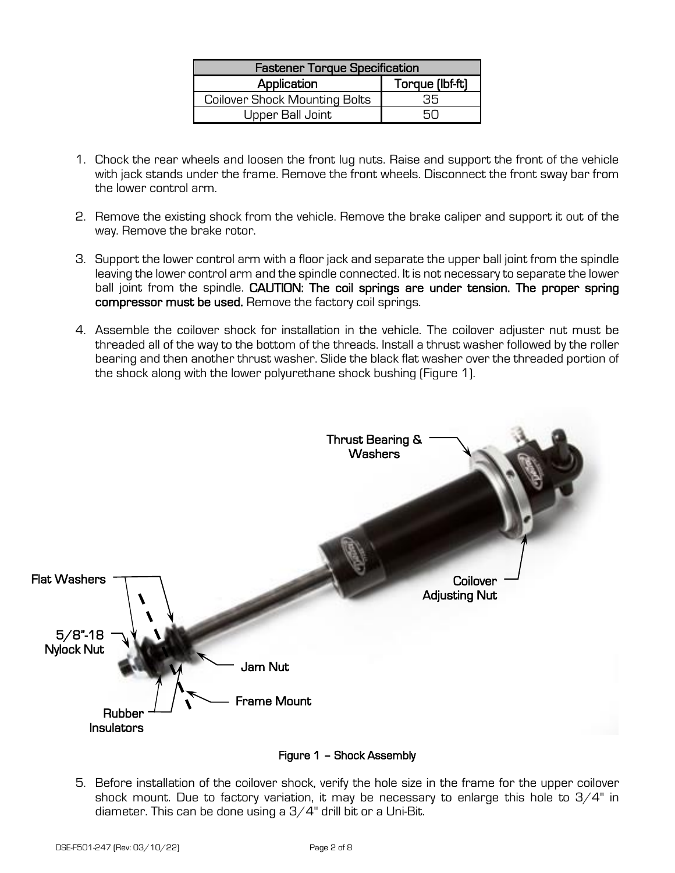| <b>Fastener Torque Specification</b> |                 |  |  |
|--------------------------------------|-----------------|--|--|
| Application                          | Torque (lbf-ft) |  |  |
| <b>Coilover Shock Mounting Bolts</b> | 35.             |  |  |
| Upper Ball Joint                     |                 |  |  |

- 1. Chock the rear wheels and loosen the front lug nuts. Raise and support the front of the vehicle with jack stands under the frame. Remove the front wheels. Disconnect the front sway bar from the lower control arm.
- 2. Remove the existing shock from the vehicle. Remove the brake caliper and support it out of the way. Remove the brake rotor.
- 3. Support the lower control arm with a floor jack and separate the upper ball joint from the spindle leaving the lower control arm and the spindle connected. It is not necessary to separate the lower ball joint from the spindle. CAUTION: The coil springs are under tension. The proper spring compressor must be used. Remove the factory coil springs.
- 4. Assemble the coilover shock for installation in the vehicle. The coilover adjuster nut must be threaded all of the way to the bottom of the threads. Install a thrust washer followed by the roller bearing and then another thrust washer. Slide the black flat washer over the threaded portion of the shock along with the lower polyurethane shock bushing (Figure 1).



Figure 1 – Shock Assembly

5. Before installation of the coilover shock, verify the hole size in the frame for the upper coilover shock mount. Due to factory variation, it may be necessary to enlarge this hole to  $3/4"$  in diameter. This can be done using a 3/4" drill bit or a Uni-Bit.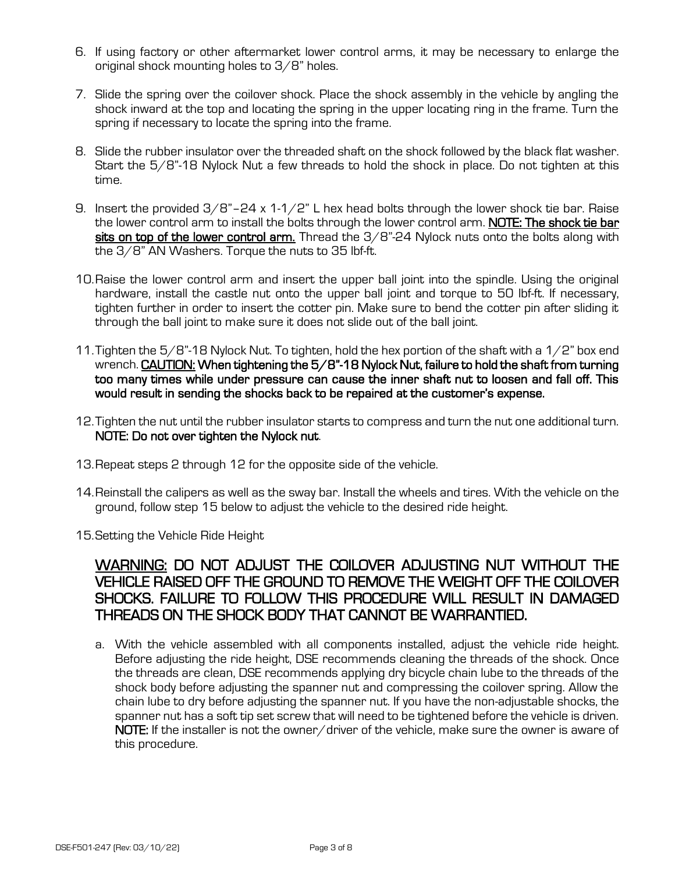- 6. If using factory or other aftermarket lower control arms, it may be necessary to enlarge the original shock mounting holes to 3/8" holes.
- 7. Slide the spring over the coilover shock. Place the shock assembly in the vehicle by angling the shock inward at the top and locating the spring in the upper locating ring in the frame. Turn the spring if necessary to locate the spring into the frame.
- 8. Slide the rubber insulator over the threaded shaft on the shock followed by the black flat washer. Start the 5/8"-18 Nylock Nut a few threads to hold the shock in place. Do not tighten at this time.
- 9. Insert the provided  $3/8$ "-24 x 1-1/2" L hex head bolts through the lower shock tie bar. Raise the lower control arm to install the bolts through the lower control arm. NOTE: The shock tie bar sits on top of the lower control arm. Thread the  $3/8$ "-24 Nylock nuts onto the bolts along with the 3/8" AN Washers. Torque the nuts to 35 lbf-ft.
- 10.Raise the lower control arm and insert the upper ball joint into the spindle. Using the original hardware, install the castle nut onto the upper ball joint and torque to 50 lbf-ft. If necessary, tighten further in order to insert the cotter pin. Make sure to bend the cotter pin after sliding it through the ball joint to make sure it does not slide out of the ball joint.
- 11. Tighten the  $5/8$ "-18 Nylock Nut. To tighten, hold the hex portion of the shaft with a 1/2" box end wrench. CAUTION: When tightening the 5/8"-18 Nylock Nut, failure to hold the shaft from turning too many times while under pressure can cause the inner shaft nut to loosen and fall off. This would result in sending the shocks back to be repaired at the customer's expense.
- 12.Tighten the nut until the rubber insulator starts to compress and turn the nut one additional turn. NOTE: Do not over tighten the Nylock nut.
- 13.Repeat steps 2 through 12 for the opposite side of the vehicle.
- 14.Reinstall the calipers as well as the sway bar. Install the wheels and tires. With the vehicle on the ground, follow step 15 below to adjust the vehicle to the desired ride height.
- 15.Setting the Vehicle Ride Height

# WARNING: DO NOT ADJUST THE COILOVER ADJUSTING NUT WITHOUT THE VEHICLE RAISED OFF THE GROUND TO REMOVE THE WEIGHT OFF THE COILOVER SHOCKS. FAILURE TO FOLLOW THIS PROCEDURE WILL RESULT IN DAMAGED THREADS ON THE SHOCK BODY THAT CANNOT BE WARRANTIED.

a. With the vehicle assembled with all components installed, adjust the vehicle ride height. Before adjusting the ride height, DSE recommends cleaning the threads of the shock. Once the threads are clean, DSE recommends applying dry bicycle chain lube to the threads of the shock body before adjusting the spanner nut and compressing the coilover spring. Allow the chain lube to dry before adjusting the spanner nut. If you have the non-adjustable shocks, the spanner nut has a soft tip set screw that will need to be tightened before the vehicle is driven. NOTE: If the installer is not the owner/driver of the vehicle, make sure the owner is aware of this procedure.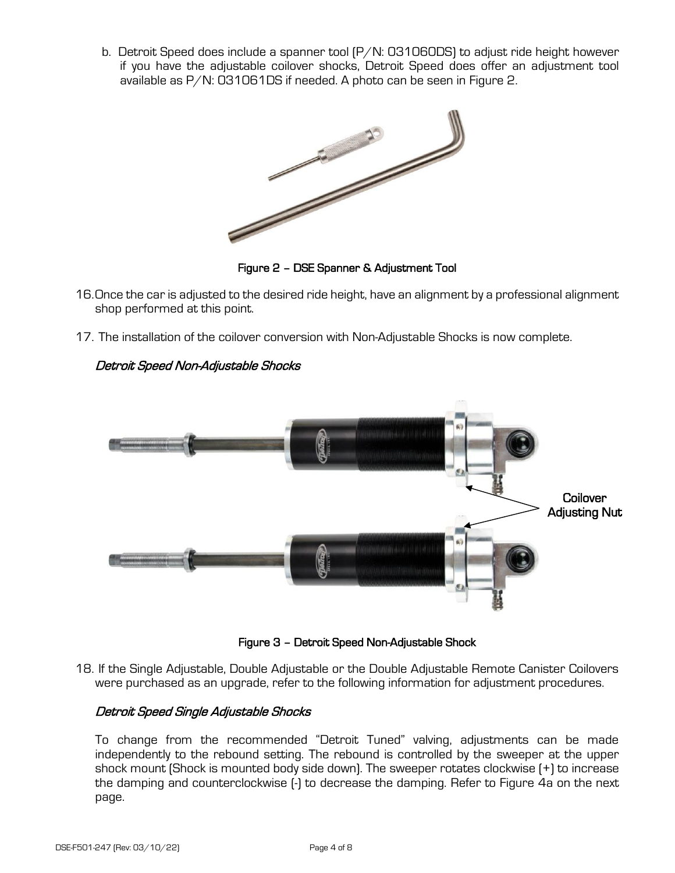b. Detroit Speed does include a spanner tool (P/N: 031060DS) to adjust ride height however if you have the adjustable coilover shocks, Detroit Speed does offer an adjustment tool available as P/N: 031061DS if needed. A photo can be seen in Figure 2.



Figure 2 – DSE Spanner & Adjustment Tool

- 16.Once the car is adjusted to the desired ride height, have an alignment by a professional alignment shop performed at this point.
- 17. The installation of the coilover conversion with Non-Adjustable Shocks is now complete.



# Detroit Speed Non-Adjustable Shocks

Figure 3 – Detroit Speed Non-Adjustable Shock

18. If the Single Adjustable, Double Adjustable or the Double Adjustable Remote Canister Coilovers were purchased as an upgrade, refer to the following information for adjustment procedures.

# Detroit Speed Single Adjustable Shocks

To change from the recommended "Detroit Tuned" valving, adjustments can be made independently to the rebound setting. The rebound is controlled by the sweeper at the upper shock mount (Shock is mounted body side down). The sweeper rotates clockwise (+) to increase the damping and counterclockwise (-) to decrease the damping. Refer to Figure 4a on the next page.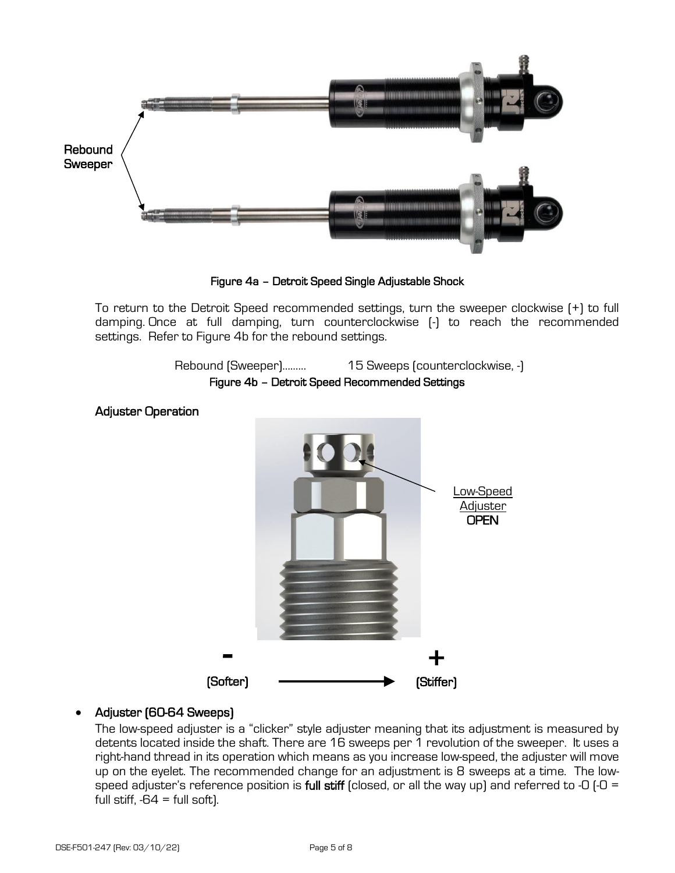

Figure 4a – Detroit Speed Single Adjustable Shock

To return to the Detroit Speed recommended settings, turn the sweeper clockwise (+) to full damping. Once at full damping, turn counterclockwise (-) to reach the recommended settings. Refer to Figure 4b for the rebound settings.

> Rebound (Sweeper)……… 15 Sweeps (counterclockwise, -) Figure 4b – Detroit Speed Recommended Settings

# Adjuster Operation



#### • Adjuster (60-64 Sweeps)

The low-speed adjuster is a "clicker" style adjuster meaning that its adjustment is measured by detents located inside the shaft. There are 16 sweeps per 1 revolution of the sweeper. It uses a right-hand thread in its operation which means as you increase low-speed, the adjuster will move up on the eyelet. The recommended change for an adjustment is 8 sweeps at a time. The lowspeed adjuster's reference position is full stiff (closed, or all the way up) and referred to -0 (-0 = full stiff,  $-64$  = full soft).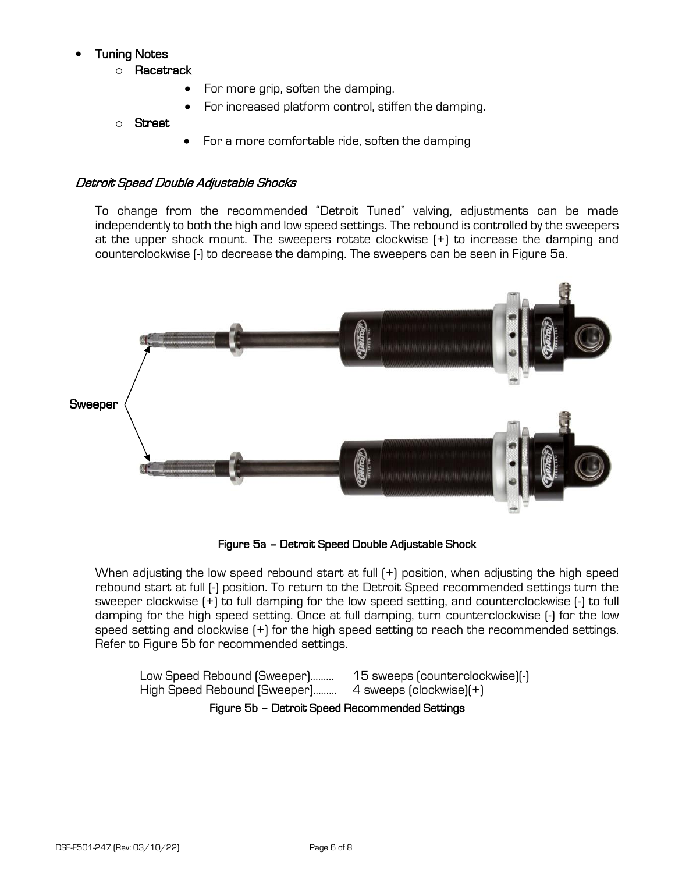# • Tuning Notes

- o Racetrack
	- For more grip, soften the damping.
	- For increased platform control, stiffen the damping.
- o Street
- For a more comfortable ride, soften the damping

### Detroit Speed Double Adjustable Shocks

To change from the recommended "Detroit Tuned" valving, adjustments can be made independently to both the high and low speed settings. The rebound is controlled by the sweepers at the upper shock mount. The sweepers rotate clockwise (+) to increase the damping and counterclockwise (-) to decrease the damping. The sweepers can be seen in Figure 5a.



Figure 5a – Detroit Speed Double Adjustable Shock

When adjusting the low speed rebound start at full (+) position, when adjusting the high speed rebound start at full (-) position. To return to the Detroit Speed recommended settings turn the sweeper clockwise (+) to full damping for the low speed setting, and counterclockwise (-) to full damping for the high speed setting. Once at full damping, turn counterclockwise (-) for the low speed setting and clockwise (+) for the high speed setting to reach the recommended settings. Refer to Figure 5b for recommended settings.

Low Speed Rebound (Sweeper)……… High Speed Rebound [Sweeper]……… 15 sweeps (counterclockwise)(-) 4 sweeps (clockwise)(+)

Figure 5b – Detroit Speed Recommended Settings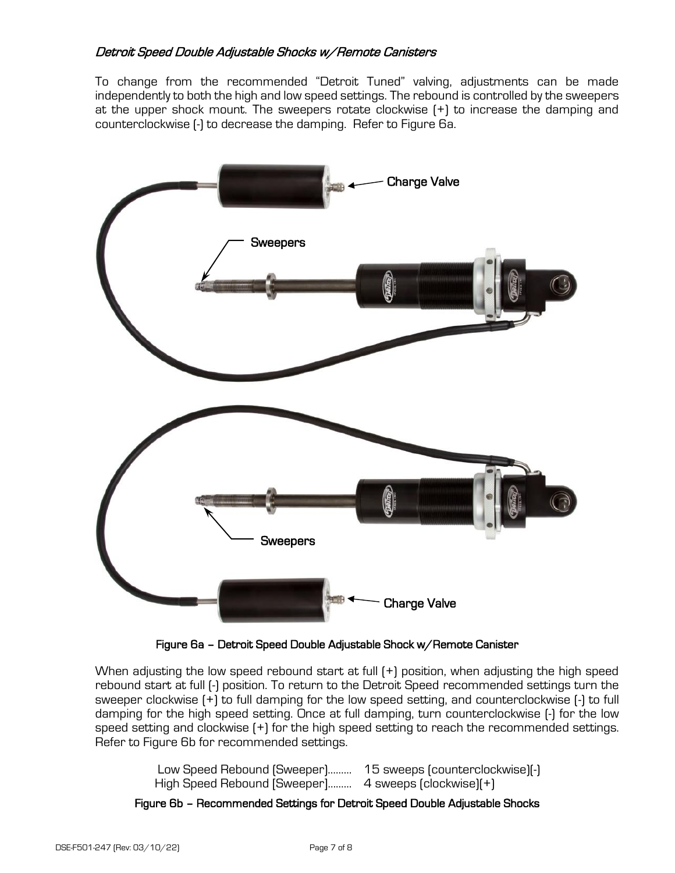### Detroit Speed Double Adjustable Shocks w/Remote Canisters

To change from the recommended "Detroit Tuned" valving, adjustments can be made independently to both the high and low speed settings. The rebound is controlled by the sweepers at the upper shock mount. The sweepers rotate clockwise (+) to increase the damping and counterclockwise (-) to decrease the damping. Refer to Figure 6a.



Figure 6a – Detroit Speed Double Adjustable Shock w/Remote Canister

When adjusting the low speed rebound start at full (+) position, when adjusting the high speed rebound start at full (-) position. To return to the Detroit Speed recommended settings turn the sweeper clockwise (+) to full damping for the low speed setting, and counterclockwise (-) to full damping for the high speed setting. Once at full damping, turn counterclockwise (-) for the low speed setting and clockwise (+) for the high speed setting to reach the recommended settings. Refer to Figure 6b for recommended settings.

| Low Speed Rebound (Sweeper)                          | 15 sweeps (counterclockwise)(-) |
|------------------------------------------------------|---------------------------------|
| High Speed Rebound [Sweeper] 4 sweeps (clockwise)(+) |                                 |

Figure 6b – Recommended Settings for Detroit Speed Double Adjustable Shocks